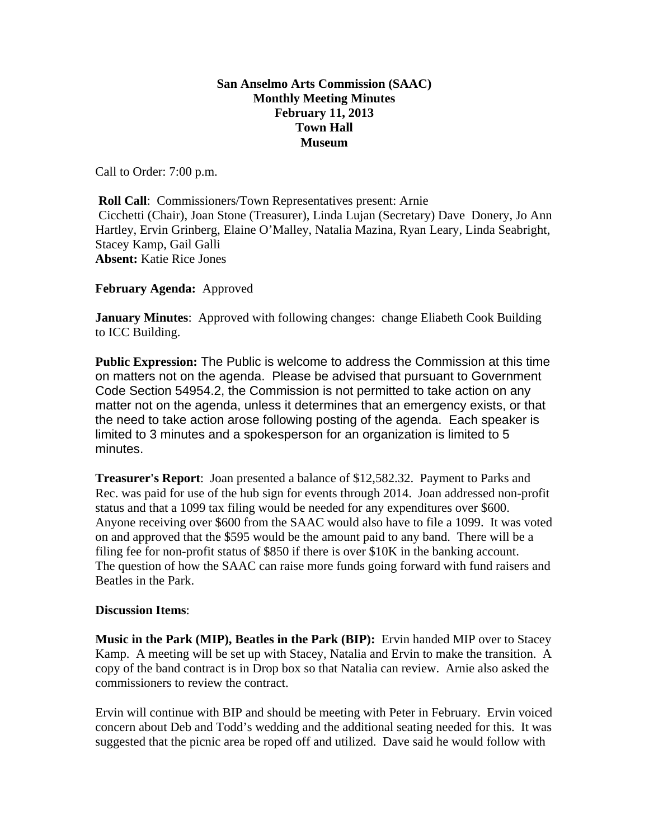## **San Anselmo Arts Commission (SAAC) Monthly Meeting Minutes February 11, 2013 Town Hall Museum**

Call to Order: 7:00 p.m.

**Roll Call:** Commissioners/Town Representatives present: Arnie Cicchetti (Chair), Joan Stone (Treasurer), Linda Lujan (Secretary) Dave Donery, Jo Ann Hartley, Ervin Grinberg, Elaine O'Malley, Natalia Mazina, Ryan Leary, Linda Seabright, Stacey Kamp, Gail Galli **Absent:** Katie Rice Jones

**February Agenda:** Approved

**January Minutes**: Approved with following changes: change Eliabeth Cook Building to ICC Building.

**Public Expression:** The Public is welcome to address the Commission at this time on matters not on the agenda. Please be advised that pursuant to Government Code Section 54954.2, the Commission is not permitted to take action on any matter not on the agenda, unless it determines that an emergency exists, or that the need to take action arose following posting of the agenda. Each speaker is limited to 3 minutes and a spokesperson for an organization is limited to 5 minutes.

**Treasurer's Report**: Joan presented a balance of \$12,582.32. Payment to Parks and Rec. was paid for use of the hub sign for events through 2014. Joan addressed non-profit status and that a 1099 tax filing would be needed for any expenditures over \$600. Anyone receiving over \$600 from the SAAC would also have to file a 1099. It was voted on and approved that the \$595 would be the amount paid to any band. There will be a filing fee for non-profit status of \$850 if there is over \$10K in the banking account. The question of how the SAAC can raise more funds going forward with fund raisers and Beatles in the Park.

## **Discussion Items**:

**Music in the Park (MIP), Beatles in the Park (BIP):** Ervin handed MIP over to Stacey Kamp. A meeting will be set up with Stacey, Natalia and Ervin to make the transition. A copy of the band contract is in Drop box so that Natalia can review. Arnie also asked the commissioners to review the contract.

Ervin will continue with BIP and should be meeting with Peter in February. Ervin voiced concern about Deb and Todd's wedding and the additional seating needed for this. It was suggested that the picnic area be roped off and utilized. Dave said he would follow with